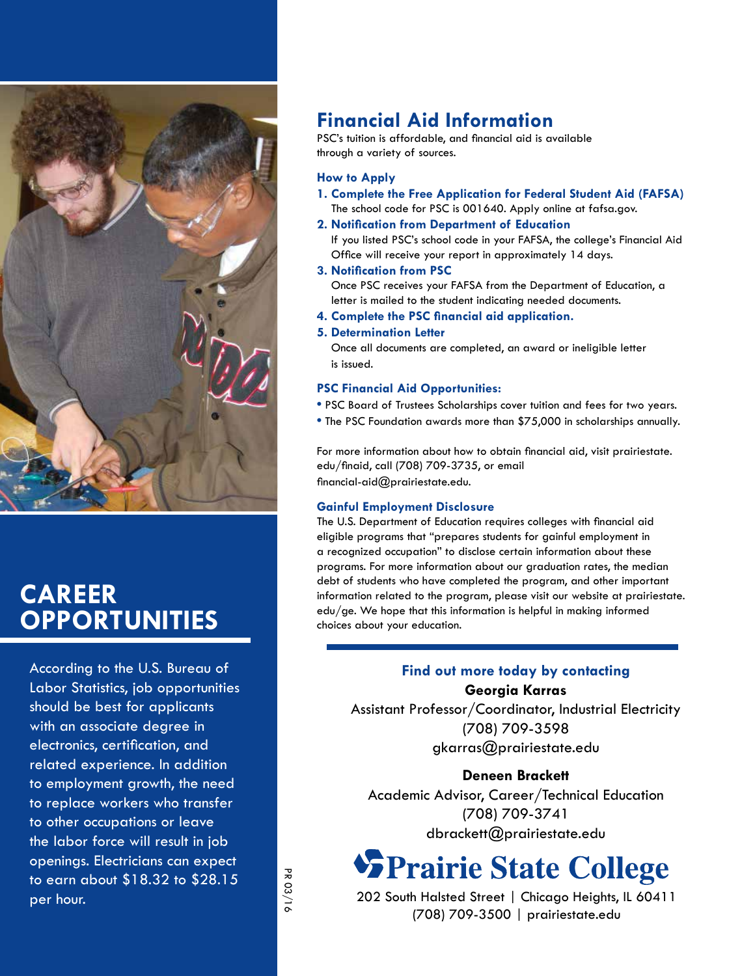

### **Career Opportunities**

According to the U.S. Bureau of Labor Statistics, job opportunities should be best for applicants with an associate degree in electronics, certification, and related experience. In addition to employment growth, the need to replace workers who transfer to other occupations or leave the labor force will result in job openings. Electricians can expect to earn about \$18.32 to \$28.15 per hour.

### **Financial Aid Information**

PSC's tuition is affordable, and financial aid is available through a variety of sources.

#### **How to Apply**

- **1. Complete the Free Application for Federal Student Aid (FAFSA)**  The school code for PSC is 001640. Apply online at fafsa.gov.
- **2. Notification from Department of Education**

If you listed PSC's school code in your FAFSA, the college's Financial Aid Office will receive your report in approximately 14 days.

#### **3. Notification from PSC**

Once PSC receives your FAFSA from the Department of Education, a letter is mailed to the student indicating needed documents.

**4. Complete the PSC financial aid application.**

#### **5. Determination Letter**

Once all documents are completed, an award or ineligible letter is issued.

#### **PSC Financial Aid Opportunities:**

- **•** PSC Board of Trustees Scholarships cover tuition and fees for two years.
- **•** The PSC Foundation awards more than \$75,000 in scholarships annually.

For more information about how to obtain financial aid, visit prairiestate. edu/finaid, call (708) 709-3735, or email financial-aid@prairiestate.edu.

#### **Gainful Employment Disclosure**

The U.S. Department of Education requires colleges with financial aid eligible programs that "prepares students for gainful employment in a recognized occupation" to disclose certain information about these programs. For more information about our graduation rates, the median debt of students who have completed the program, and other important information related to the program, please visit our website at prairiestate. edu/ge. We hope that this information is helpful in making informed choices about your education.

### **Find out more today by contacting Georgia Karras**

Assistant Professor/Coordinator, Industrial Electricity (708) 709-3598 gkarras@prairiestate.edu

### **Deneen Brackett**

Academic Advisor, Career/Technical Education (708) 709-3741 dbrackett@prairiestate.edu

## **SPrairie State College**

202 South Halsted Street | Chicago Heights, IL 60411 (708) 709-3500 | prairiestate.edu

PR 03/16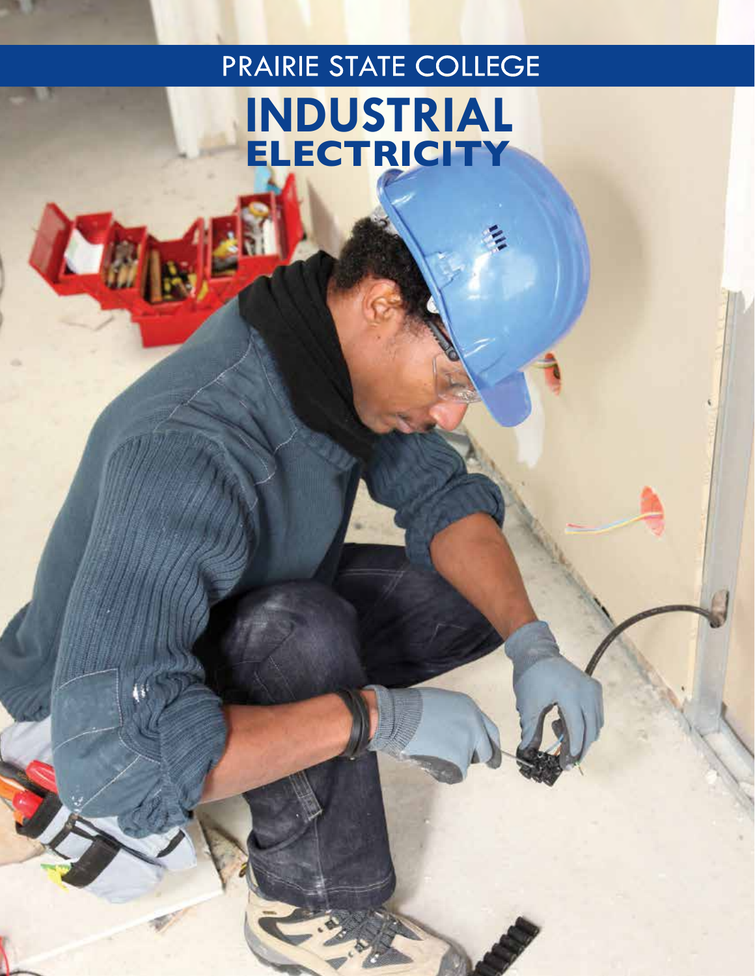# PRAIRIE STATE COLLEGE **Industrial Electricity**

LE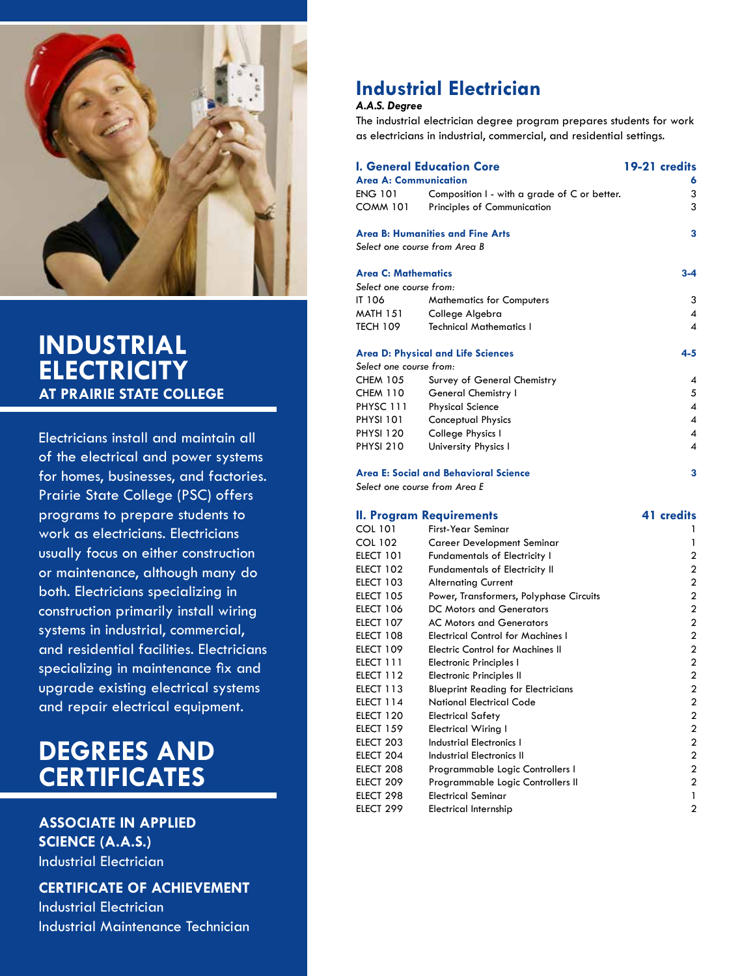

### **Industrial Electricity at Prairie State College**

Electricians install and maintain all of the electrical and power systems for homes, businesses, and factories. Prairie State College (PSC) offers programs to prepare students to work as electricians. Electricians usually focus on either construction or maintenance, although many do both. Electricians specializing in construction primarily install wiring systems in industrial, commercial, and residential facilities. Electricians specializing in maintenance fix and upgrade existing electrical systems and repair electrical equipment.

### **degrees and certificates**

### **Associate in Applied Science (A.A.S.)** Industrial Electrician

**Certificate of Achievement**

Industrial Electrician Industrial Maintenance Technician

### **Industrial Electrician**

### *A.A.S. Degree*

The industrial electrician degree program prepares students for work as electricians in industrial, commercial, and residential settings.

| <b>I. General Education Core</b>          | 19-21 credits                                |                        |
|-------------------------------------------|----------------------------------------------|------------------------|
| <b>Area A: Communication</b>              | 6                                            |                        |
| <b>ENG 101</b>                            | Composition I - with a grade of C or better. | 3                      |
| <b>COMM 101</b>                           | Principles of Communication                  | 3                      |
| <b>Area B: Humanities and Fine Arts</b>   | 3                                            |                        |
| Select one course from Area B             |                                              |                        |
| <b>Area C: Mathematics</b>                | $3 - 4$                                      |                        |
| Select one course from:                   |                                              |                        |
| IT 106                                    | <b>Mathematics for Computers</b>             | 3                      |
| <b>MATH 151</b>                           | College Algebra                              | 4                      |
| <b>TECH 109</b>                           | <b>Technical Mathematics I</b>               | 4                      |
| <b>Area D: Physical and Life Sciences</b> |                                              | 4-5                    |
| Select one course from:                   |                                              |                        |
| <b>CHEM 105</b>                           | Survey of General Chemistry                  | 4                      |
| CHEM 110                                  | General Chemistry I                          | 5                      |
| <b>PHYSC 111</b>                          | <b>Physical Science</b>                      | $\boldsymbol{\Lambda}$ |
| <b>PHYSI 101</b>                          | Conceptual Physics                           | 4                      |
| <b>PHYSI 120</b>                          | College Physics I                            | 4                      |
| <b>PHYSI 210</b>                          | University Physics I                         | 4                      |
| Area E: Social and Behavioral Science     | 3                                            |                        |

*Select one course from Area E*

|                  | <b>II. Program Requirements</b>           | 41 credits     |
|------------------|-------------------------------------------|----------------|
| COL 101          | First-Year Seminar                        |                |
| <b>COL 102</b>   | Career Development Seminar                |                |
| ELECT 101        | <b>Fundamentals of Electricity I</b>      | 2              |
| ELECT 102        | <b>Fundamentals of Electricity II</b>     | 2              |
| ELECT 103        | <b>Alternating Current</b>                | 2              |
| <b>ELECT 105</b> | Power, Transformers, Polyphase Circuits   | 2              |
| ELECT 106        | <b>DC Motors and Generators</b>           | 2              |
| ELECT 107        | <b>AC Motors and Generators</b>           | $\overline{c}$ |
| ELECT 108        | <b>Electrical Control for Machines I</b>  | $\overline{2}$ |
| ELECT 109        | <b>Electric Control for Machines II</b>   | $\overline{2}$ |
| ELECT 111        | <b>Electronic Principles I</b>            | $\overline{2}$ |
| ELECT 112        | Electronic Principles II                  | 2              |
| ELECT 113        | <b>Blueprint Reading for Electricians</b> | $\overline{c}$ |
| ELECT 114        | <b>National Electrical Code</b>           | $\overline{c}$ |
| ELECT 120        | <b>Electrical Safety</b>                  | $\overline{2}$ |
| <b>ELECT 159</b> | <b>Electrical Wiring I</b>                | $\overline{2}$ |
| ELECT 203        | <b>Industrial Electronics I</b>           | $\overline{2}$ |
| ELECT 204        | <b>Industrial Electronics II</b>          | $\overline{2}$ |
| ELECT 208        | Programmable Logic Controllers I          | $\overline{2}$ |
| ELECT 209        | Programmable Logic Controllers II         | $\overline{2}$ |
| ELECT 298        | <b>Electrical Seminar</b>                 | 1              |
| ELECT 299        | Electrical Internship                     | $\overline{2}$ |